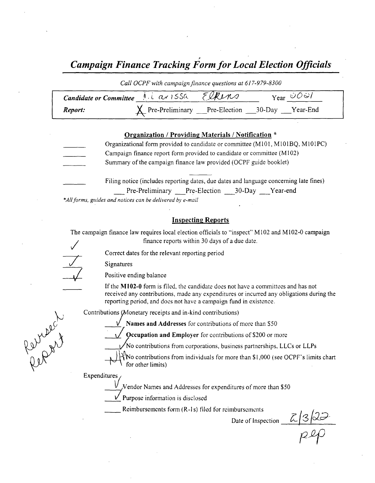# Campaign Finance Tracking Form for Local Election Officials

| Call OCPF with campaign finance questions at 617-979-8300 |  |  |                                                      |  |
|-----------------------------------------------------------|--|--|------------------------------------------------------|--|
| Candidate or Committee 1. Lav 155a EURINS                 |  |  | $Y_{\text{ear}} \circ \mathcal{O} \circ \mathcal{V}$ |  |
| Report:                                                   |  |  | X Pre-Preliminary Pre-Election ___30-Day ___Year-End |  |

### Organization / Providing Materials/ Notification \*

- Organizational form provided to candidate or committee (M101, M101BQ, M101PC) Campaign finance report form provided to candidate or committee( M102) Summary of the campaign finance law provided (OCPF guide booklet)
	- Filing notice (includes reporting dates, due dates and language concerning late fines) Pre-Preliminary Pre-Election 30-Day Year-end

\*All forms, guides and notices can be delivered by e-mail

### Inspecting Reports

The campaign finance law requires local election officials to "inspect" M102 and M102-0 campaign finance reports within 30 days of <sup>a</sup> due date.

Correct dates for the relevant reporting period

Signatures

Positive ending balance

If the  $M102-0$  form is filed, the candidate does not have a committees and has not received any contributions, made any expenditures or incurred any obligations during the reporting period, and does not have a campaign fund in existence.

Contributions (Monetary receipts and in-kind contributions)

Names and Addresses for contributions of more than \$50

 $'$  Qccupation and Employer for contributions of \$200 or more

 $\sqrt{N}$  contributions from corporations, business partnerships, LLCs or LLPs

 $\forall$  No contributions from individuals for more than \$1,000 (see OCPF's limits chart for other limits)

Expenditures

Reproach

 $N$ endor Names and Addresses for expenditures of more than  $$50$ 

Purpose information is disclosed

Reimbursements form (R-1s) filed for reimbursements

Date of Inspection  $\mathcal{L}$  3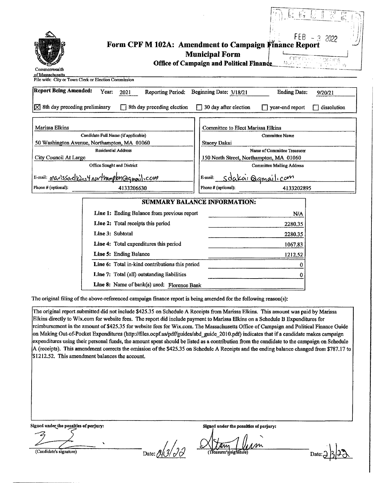| Commonwealth<br>of Massachusetts<br>File with: City or Town Clerk or Election Commission                                                                                                                                                                                                                                   | $FEB - 3$<br>2022<br>Form CPF M 102A: Amendment to Campaign Finance Report<br><b>Municipal Form</b><br>CITY COLOR CORECTE<br>North Park<br><b>Office of Campaign and Political Finance</b>                                                                           |
|----------------------------------------------------------------------------------------------------------------------------------------------------------------------------------------------------------------------------------------------------------------------------------------------------------------------------|----------------------------------------------------------------------------------------------------------------------------------------------------------------------------------------------------------------------------------------------------------------------|
| <b>Report Being Amended:</b><br>Year:<br><b>Reporting Period:</b><br>2021                                                                                                                                                                                                                                                  | Beginning Date: 3/18/21<br><b>Ending Date:</b><br>9/20/21                                                                                                                                                                                                            |
| $\times$ 8th day preceding preliminary<br>8th day preceding election                                                                                                                                                                                                                                                       | 30 day after election<br>$\Box$ year-end report<br>dissolution                                                                                                                                                                                                       |
| Marissa Elkins<br>Candidate Full Name (if applicable)<br>50 Washington Avenue, Northampton, MA 01060<br><b>Residential Address</b><br>City Council At Large<br>Office Sought and District<br>E-mail: marissackins4 northampton@qmonil.com<br>Phone # (optional):<br>4133206630                                             | Committee to Elect Marissa Elkins<br>Committee Name<br><b>Stacey Dakai</b><br>Name of Committee Treasurer<br>150 North Street, Northampton, MA 01060<br><b>Committee Mailing Address</b><br><u>sdakai Qamailicom</u><br>E-mail:<br>Phone # (optional):<br>4133202895 |
|                                                                                                                                                                                                                                                                                                                            | SUMMARY BALANCE INFORMATION:                                                                                                                                                                                                                                         |
| Line 1: Ending Balance from previous report<br>Line 2: Total receipts this period<br>Line 3: Subtotal<br>Line 4: Total expenditures this period<br>Line 5: Ending Balance<br>Line 6: Total in-kind contributions this period<br>Line 7: Total (all) outstanding liabilities<br>Line 8: Name of bank(s) used: Florence Bank | N/A<br>2280.35<br>2280.35<br>1067.83<br>1212.52<br>0<br>0                                                                                                                                                                                                            |

The original filing of the above-referenced campaign finance report is being amended for the following reason(s):

The original report submitted did not include \$425.35 on Schedule A Receipts from Marissa Elkins. This amount was paid by Marissa Elkins directly to Wix.com for website fees. The report did include payment to Marissa Elkins on a Schedule B Expenditures for reimbursement in the amount of\$425. 35 for website fees for Wix. com. The Massachusetts Office of Campaign and Political Finance Guide on Making Out-of-Pocket Expenditures( http:// files. ocpf.us/pdflguides/ abd\_guide\_ 2010.pdf) indicates that if <sup>a</sup> candidate makes campaign expenditures using their personal funds, the amount spent should be listed as a contribution from the candidate to the campaign on Schedule A (receipts). This amendment corrects the omission of the \$425.35 on Schedule A Receipts and the ending balance changed from \$787.17 to \$1212.52. This amendment balances the account.

Signed underthe penalties of perjury: Signed under the penalties of perjury:

 $\overbrace{C}$  Candidate's signature) Date:  $\frac{\partial}{\partial z}$  Date:  $\frac{\partial}{\partial z}$  (Treasurer's signature)

m Aw

Date:  $\frac{1}{2}$  3 23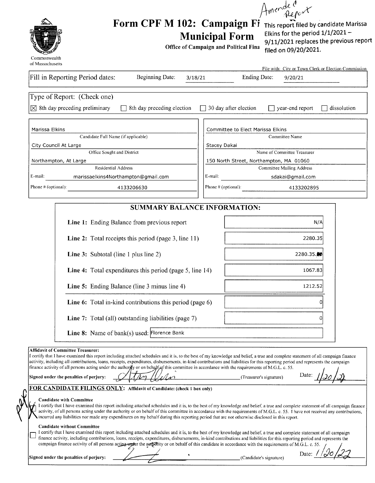Amerde Cort



# Form CPF M 102: Campaign Fi This report filed by candidate Marissa<br>Municipal Form Elkins for the period 1/1/2021-**Municipal Form**

Office of Campaign and Political Fins

9/11/2021 replaces the previous report filed on 09/20/2021.

|                                                                        | File with: City or Town Clerk or Election Commission    |
|------------------------------------------------------------------------|---------------------------------------------------------|
| Fill in Reporting Period dates:<br><b>Beginning Date:</b>              | Ending Date:<br>3/18/21<br>9/20/21                      |
| Type of Report: (Check one)                                            |                                                         |
| $ \times $ 8th day preceding preliminary<br>8th day preceding election | 30 day after election<br>dissolution<br>year-end report |
|                                                                        |                                                         |
| Marissa Elkins                                                         | Committee to Elect Marissa Elkins                       |
| Candidate Full Name (if applicable)                                    | Committee Name                                          |
| City Council At Large                                                  | Stacey Dakai                                            |
| Office Sought and District                                             | Name of Committee Treasurer                             |
| Northampton, At Large                                                  | 150 North Street, Northampton, MA 01060                 |
| Residential Address                                                    | Committee Mailing Address                               |
| E-mail:<br>marissaelkins4Northampton@qmail.com                         | E-mail:<br>sdakai@gmail.com                             |
| Phone # (optional):<br>4133206630                                      | Phone # (optional):<br>4133202895                       |

### SUMMARY BALANCE INFORMATION:

| <b>Line 1:</b> Ending Balance from previous report              | N/A        |
|-----------------------------------------------------------------|------------|
| <b>Line 2:</b> Total receipts this period (page 3, line 11)     | 2280.35    |
| <b>Line 3:</b> Subtotal (line 1 plus line 2)                    | 2280.35.00 |
| <b>Line 4:</b> Total expenditures this period (page 5, line 14) | 1067.83    |
| <b>Line 5:</b> Ending Balance (line 3 minus line 4)             | 1212.52    |
| <b>Line 6:</b> Total in-kind contributions this period (page 6) |            |
| <b>Line 7:</b> Total (all) outstanding liabilities (page 7)     |            |
| Line 8: Name of bank(s) used: Florence Bank                     |            |

#### Affidavit of Committee Treasurer:

I certify that I have examined this report including attached schedules and it is, to the best of my knowledge and belief, <sup>a</sup> true and complete statement of all campaign finance activity, including all contributions, loans, receipts, expenditures, disbursements, in- kind contributions and liabilities for this reporting period and represents the campaign finance activity of all persons acting under the authority or on behalf of this committee in accordance with the requirements of M.G.L. c. 55.

Signed under the penalties of perjury:  $\left( \frac{1}{4} \right)$   $\left( \frac{1}{4} \right)$   $\left( \frac{1}{4} \right)$   $\left( \frac{1}{4} \right)$   $\left( \frac{1}{4} \right)$   $\left( \frac{1}{4} \right)$   $\left( \frac{1}{4} \right)$   $\left( \frac{1}{4} \right)$   $\left( \frac{1}{4} \right)$   $\left( \frac{1}{4} \right)$   $\left( \frac{1}{4} \right)$   $\left( \frac$ 

Date: //20/2)

### FOR CANDIDATE FILINGS ONLY: Affidavit of Candidate: (check 1 box only)

#### Candidate with Committee

I certify that I have examined this report including attached schedules and it is, to the best of my knowledge and belief, <sup>a</sup> true and complete statement of all campaign finance activity, of all persons acting under the authority or on behalf of this committee in accordance with the requirements of M.G.L. c. 55. I have not received any contributions, incurred any liabilities nor made any expenditures on my behalf during this reporting period that are not otherwise disclosed in this report.

#### Candidate without Committee

I certify that I have examined this report including attached schedules and it is, to the best of my knowledge and belief, <sup>a</sup> true and complete statement of all campaign finance activity, including contributions, loans, receipts, expenditures, disbursements, in- kind contributions and liabilities for this reporting period and represents the campaign finance activity of all persons acting under the autority or on behalf of this candidate in accordance with the requirements of M.G.L. c. 55.

Signed under the penalties of perjury: Candidate' <sup>s</sup> signature)

Date: /  $\sigma$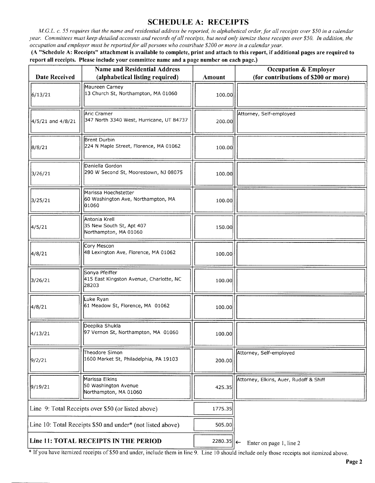## SCHEDULE A: RECEIPTS

M.G.L. c. 55 requires that the name and residential address be reported, in alphabetical order, for all receipts over \$50 in a calendar year. Committees must keep detailed accounts and records of all receipts, but need only itemize those receipts over \$50. In addition, the occupation and employer must be reported for all persons who contribute\$ 200 or more in <sup>a</sup> calendar year.

A " Schedule A: Receipts" attachment is available to complete, print and attach to this report, if additional pages are required to report all receipts. Please include your committee name and a page number on each page.)

| Date Received                                              | Name and Residential Address<br>(alphabetical listing required)     | Amount     | <b>Occupation &amp; Employer</b><br>(for contributions of \$200 or more) |
|------------------------------------------------------------|---------------------------------------------------------------------|------------|--------------------------------------------------------------------------|
| 6/13/21                                                    | Maureen Carney<br>13 Church St, Northampton, MA 01060               | 100.00     |                                                                          |
| 4/5/21 and 4/8/21                                          | Aric Cramer<br>347 North 3340 West, Hurricane, UT 84737             | 200.00     | Attorney, Self-employed                                                  |
| 8/8/21                                                     | Brent Durbin<br>224 N Maple Street, Florence, MA 01062              | 100.00     |                                                                          |
| 3/26/21                                                    | Daniella Gordon<br>290 W Second St, Moorestown, NJ 08075            | 100.00     |                                                                          |
| 3/25/21                                                    | Marissa Hoechstetter<br>60 Washington Ave, Northampton, MA<br>01060 | 100.00     |                                                                          |
| 4/5/21                                                     | Antonia Krell<br>35 New South St, Apt 407<br>Northampton, MA 01060  | 150.00     |                                                                          |
| 4/8/21                                                     | Cory Mescon<br>48 Lexington Ave, Florence, MA 01062                 | 100.00     |                                                                          |
| 3/26/21                                                    | Sonva Pfeiffer<br>415 East Kingston Avenue, Charlotte, NC<br>28203  | 100.00     |                                                                          |
| 4/8/21                                                     | Luke Ryan<br>61 Meadow St, Florence, MA 01062                       | 100.00     |                                                                          |
| 4/13/21                                                    | Deepika Shukla<br>97 Vernon St, Northampton, MA 01060               | 100.00     |                                                                          |
| 9/2/21                                                     | Theodore Simon<br>1600 Market St, Philadelphia, PA 19103            | 200.00     | Attorney, Self-employed                                                  |
| 9/19/21                                                    | Marissa Elkins<br>50 Washington Avenue<br>Northampton, MA 01060     | 425.35     | Attorney, Elkins, Auer, Rudoff & Shiff                                   |
| Line 9: Total Receipts over \$50 (or listed above)         |                                                                     | 1775.35    |                                                                          |
| Line 10: Total Receipts \$50 and under* (not listed above) |                                                                     | 505.00     |                                                                          |
| Line 11: TOTAL RECEIPTS IN THE PERIOD                      |                                                                     | 2280.35  ← | Enter on page 1, line 2                                                  |

<sup>\*</sup> If you have itemized receipts of \$50 and under, include them in line 9. Line 10 should include only those receipts not itemized above.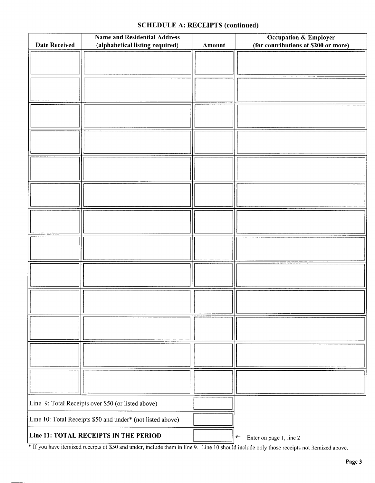## SCHEDULE A: RECEIPTS (continued)

| <b>Date Received</b>                                       | <b>Name and Residential Address</b><br>(alphabetical listing required) |                                         | <b>Occupation &amp; Employer</b><br>(for contributions of \$200 or more) |  |
|------------------------------------------------------------|------------------------------------------------------------------------|-----------------------------------------|--------------------------------------------------------------------------|--|
|                                                            |                                                                        |                                         |                                                                          |  |
|                                                            |                                                                        |                                         |                                                                          |  |
|                                                            |                                                                        |                                         |                                                                          |  |
|                                                            |                                                                        |                                         |                                                                          |  |
|                                                            |                                                                        |                                         |                                                                          |  |
|                                                            |                                                                        |                                         |                                                                          |  |
|                                                            |                                                                        |                                         |                                                                          |  |
|                                                            |                                                                        |                                         |                                                                          |  |
|                                                            |                                                                        |                                         |                                                                          |  |
|                                                            |                                                                        |                                         |                                                                          |  |
|                                                            |                                                                        |                                         |                                                                          |  |
|                                                            |                                                                        |                                         |                                                                          |  |
|                                                            |                                                                        |                                         |                                                                          |  |
|                                                            |                                                                        |                                         |                                                                          |  |
| Line 9: Total Receipts over \$50 (or listed above)         |                                                                        |                                         |                                                                          |  |
| Line 10: Total Receipts \$50 and under* (not listed above) |                                                                        |                                         |                                                                          |  |
| Line 11: TOTAL RECEIPTS IN THE PERIOD                      |                                                                        | Enter on page 1, line 2<br>$\leftarrow$ |                                                                          |  |

If you have itemized receipts of \$50 and under, include them in line 9. Line 10 should include only those receipts not itemized above.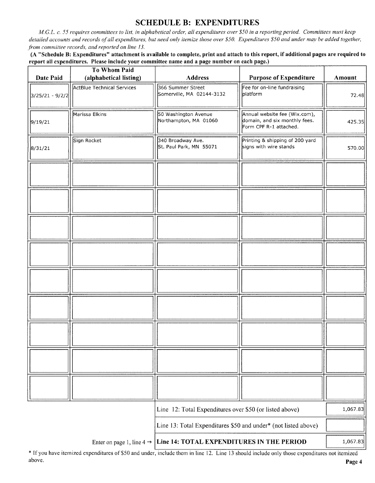# SCHEDULE B: EXPENDITURES

M.G.L. c. 55 requires committees to list, in alphabetical order, all expenditures over \$50 in a reporting period. Committees must keep detailed accounts and records of all expenditures, but need only itemize those over \$50. Expenditures \$50 and under may be added together, from committee records, and reported on line 13.

A" Schedule B: Expenditures" attachment is available to complete, print and attach to this report, if additional pages are required to report all expenditures. Please include your committee name and a page number on each page.)

| Date Paid         | <b>To Whom Paid</b><br>(alphabetical listing) | <b>Address</b>                                                 | <b>Purpose of Expenditure</b>                                                            | <b>Amount</b> |
|-------------------|-----------------------------------------------|----------------------------------------------------------------|------------------------------------------------------------------------------------------|---------------|
| $3/25/21 - 9/2/2$ | ActBlue Technical Services                    | 366 Summer Street<br>Somerville, MA 02144-3132                 | Fee for on-line fundraising<br>platform                                                  | 72.48         |
| 9/19/21           | Marissa Elkins                                | 50 Washington Avenue<br>Northampton, MA 01060                  | Annual website fee (Wix.com),<br>domain, and six monthly fees.<br>Form CPF R-1 attached. | 425.35        |
| 8/31/21           | Sign Rocket                                   | 340 Broadway Ave.<br>St. Paul Park, MN 55071                   | Printing & shipping of 200 yard<br>signs with wire stands                                | 570.00        |
|                   |                                               |                                                                |                                                                                          |               |
|                   |                                               |                                                                |                                                                                          |               |
|                   |                                               |                                                                |                                                                                          |               |
|                   |                                               |                                                                |                                                                                          |               |
|                   |                                               |                                                                |                                                                                          |               |
|                   |                                               |                                                                |                                                                                          |               |
|                   |                                               |                                                                |                                                                                          |               |
|                   |                                               |                                                                |                                                                                          |               |
|                   |                                               |                                                                |                                                                                          |               |
|                   |                                               | Line 12: Total Expenditures over \$50 (or listed above)        |                                                                                          | 1,067.83      |
|                   |                                               | Line 13: Total Expenditures \$50 and under* (not listed above) |                                                                                          |               |
|                   | Enter on page 1, line $4 \rightarrow$         | Line 14: TOTAL EXPENDITURES IN THE PERIOD                      |                                                                                          | 1,067.83      |

If you have itemized expenditures of\$50 and under, include them in line 12. Line <sup>13</sup> should include only those expenditures not itemized above. **Page 4** and the set of the set of the set of the set of the set of the set of the set of the set of the set of the set of the set of the set of the set of the set of the set of the set of the set of the set of the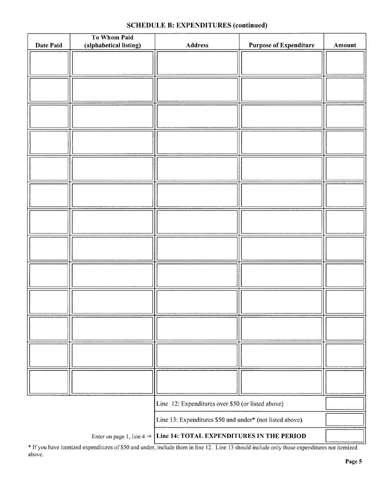## SCHEDULE B: EXPENDITURES (continued)

| Date Paid | To Whom Paid<br>(alphabetical listing) | Address                                                  | <b>Purpose of Expenditure</b> | Amount |
|-----------|----------------------------------------|----------------------------------------------------------|-------------------------------|--------|
|           |                                        |                                                          |                               |        |
|           |                                        |                                                          |                               |        |
|           |                                        |                                                          |                               |        |
|           |                                        |                                                          |                               |        |
|           |                                        |                                                          |                               |        |
|           |                                        |                                                          |                               |        |
|           |                                        |                                                          |                               |        |
|           |                                        |                                                          |                               |        |
|           |                                        |                                                          |                               |        |
|           |                                        |                                                          |                               |        |
|           |                                        |                                                          |                               |        |
|           |                                        |                                                          |                               |        |
|           |                                        |                                                          |                               |        |
|           |                                        |                                                          |                               |        |
|           |                                        |                                                          |                               |        |
|           |                                        |                                                          |                               |        |
|           |                                        |                                                          |                               |        |
|           |                                        |                                                          |                               |        |
|           |                                        |                                                          |                               |        |
|           |                                        |                                                          |                               |        |
|           |                                        |                                                          |                               |        |
|           |                                        |                                                          |                               |        |
|           |                                        |                                                          |                               |        |
|           |                                        |                                                          |                               |        |
|           |                                        |                                                          |                               |        |
|           |                                        |                                                          |                               |        |
|           |                                        |                                                          |                               |        |
|           |                                        |                                                          |                               |        |
|           |                                        |                                                          |                               |        |
|           |                                        |                                                          |                               |        |
|           |                                        |                                                          |                               |        |
|           |                                        | Line 12: Expenditures over \$50 (or listed above)        |                               |        |
|           |                                        | Line 13: Expenditures \$50 and under* (not listed above) |                               |        |
|           | Enter on page 1, line 4 $\rightarrow$  | Line 14: TOTAL EXPENDITURES IN THE PERIOD                |                               |        |

If you have itemized expenditures of\$50 and under, include them in line 12. Line <sup>13</sup> should include only those expenditures not itemized above.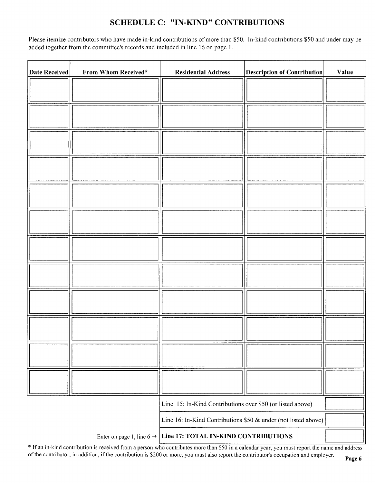## SCHEDULE C: " IN-KIND" CONTRIBUTIONS

Please itemize contributors who have made in-kind contributions of more than \$50. In-kind contributions \$50 and under may be added together from the committee's records and included in line 16 on page 1.

| <b>Date Received</b> | From Whom Received*                   | <b>Residential Address</b>                                     | <b>Description of Contribution</b> | Value |
|----------------------|---------------------------------------|----------------------------------------------------------------|------------------------------------|-------|
|                      |                                       |                                                                |                                    |       |
|                      |                                       |                                                                |                                    |       |
|                      |                                       |                                                                |                                    |       |
|                      |                                       |                                                                |                                    |       |
|                      |                                       |                                                                |                                    |       |
|                      |                                       |                                                                |                                    |       |
|                      |                                       |                                                                |                                    |       |
|                      |                                       |                                                                |                                    |       |
|                      |                                       |                                                                |                                    |       |
|                      |                                       |                                                                |                                    |       |
|                      |                                       |                                                                |                                    |       |
|                      |                                       |                                                                |                                    |       |
|                      |                                       |                                                                |                                    |       |
|                      |                                       | Line 15: In-Kind Contributions over \$50 (or listed above)     |                                    |       |
|                      |                                       | Line 16: In-Kind Contributions \$50 & under (not listed above) |                                    |       |
|                      | Enter on page 1, line 6 $\rightarrow$ | Line 17: TOTAL IN-KIND CONTRIBUTIONS                           |                                    |       |

If an in- kind contribution is received from <sup>a</sup> person who contributes more than\$ <sup>50</sup> in <sup>a</sup> calendar year, you must report the name and address of the contributor; in addition, if the contribution is \$200 or more, you must also report the contributor's occupation and employer.